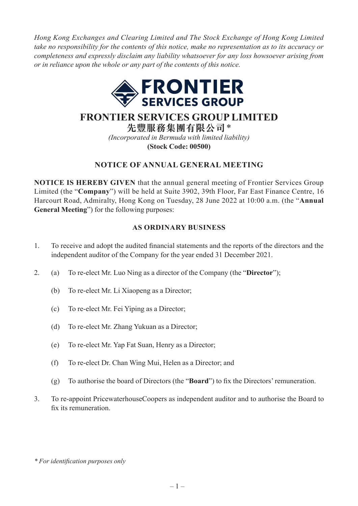*Hong Kong Exchanges and Clearing Limited and The Stock Exchange of Hong Kong Limited take no responsibility for the contents of this notice, make no representation as to its accuracy or completeness and expressly disclaim any liability whatsoever for any loss howsoever arising from or in reliance upon the whole or any part of the contents of this notice.*



# **FRONTIER SERVICES GROUP LIMITED**

**先豐服務集團有限公司**\* *(Incorporated in Bermuda with limited liability)* **(Stock Code: 00500)**

# **NOTICE OF ANNUAL GENERAL MEETING**

**NOTICE IS HEREBY GIVEN** that the annual general meeting of Frontier Services Group Limited (the "**Company**") will be held at Suite 3902, 39th Floor, Far East Finance Centre, 16 Harcourt Road, Admiralty, Hong Kong on Tuesday, 28 June 2022 at 10:00 a.m. (the "**Annual General Meeting**") for the following purposes:

### **AS ORDINARY BUSINESS**

- 1. To receive and adopt the audited financial statements and the reports of the directors and the independent auditor of the Company for the year ended 31 December 2021.
- 2. (a) To re-elect Mr. Luo Ning as a director of the Company (the "**Director**");
	- (b) To re-elect Mr. Li Xiaopeng as a Director;
	- (c) To re-elect Mr. Fei Yiping as a Director;
	- (d) To re-elect Mr. Zhang Yukuan as a Director;
	- (e) To re-elect Mr. Yap Fat Suan, Henry as a Director;
	- (f) To re-elect Dr. Chan Wing Mui, Helen as a Director; and
	- (g) To authorise the board of Directors (the "**Board**") to fix the Directors' remuneration.
- 3. To re-appoint PricewaterhouseCoopers as independent auditor and to authorise the Board to fix its remuneration.

*<sup>\*</sup> For identification purposes only*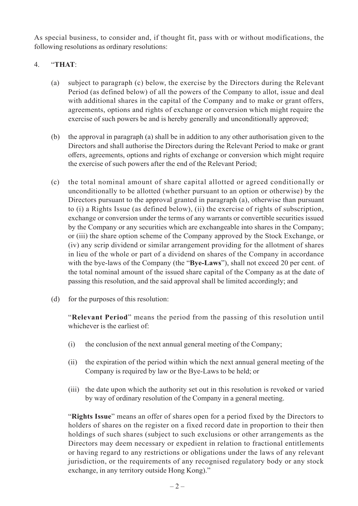As special business, to consider and, if thought fit, pass with or without modifications, the following resolutions as ordinary resolutions:

## 4. "**THAT**:

- (a) subject to paragraph (c) below, the exercise by the Directors during the Relevant Period (as defined below) of all the powers of the Company to allot, issue and deal with additional shares in the capital of the Company and to make or grant offers, agreements, options and rights of exchange or conversion which might require the exercise of such powers be and is hereby generally and unconditionally approved;
- (b) the approval in paragraph (a) shall be in addition to any other authorisation given to the Directors and shall authorise the Directors during the Relevant Period to make or grant offers, agreements, options and rights of exchange or conversion which might require the exercise of such powers after the end of the Relevant Period;
- (c) the total nominal amount of share capital allotted or agreed conditionally or unconditionally to be allotted (whether pursuant to an option or otherwise) by the Directors pursuant to the approval granted in paragraph (a), otherwise than pursuant to (i) a Rights Issue (as defined below), (ii) the exercise of rights of subscription, exchange or conversion under the terms of any warrants or convertible securities issued by the Company or any securities which are exchangeable into shares in the Company; or (iii) the share option scheme of the Company approved by the Stock Exchange, or (iv) any scrip dividend or similar arrangement providing for the allotment of shares in lieu of the whole or part of a dividend on shares of the Company in accordance with the bye-laws of the Company (the "**Bye-Laws**"), shall not exceed 20 per cent. of the total nominal amount of the issued share capital of the Company as at the date of passing this resolution, and the said approval shall be limited accordingly; and
- (d) for the purposes of this resolution:

"**Relevant Period**" means the period from the passing of this resolution until whichever is the earliest of:

- (i) the conclusion of the next annual general meeting of the Company;
- (ii) the expiration of the period within which the next annual general meeting of the Company is required by law or the Bye-Laws to be held; or
- (iii) the date upon which the authority set out in this resolution is revoked or varied by way of ordinary resolution of the Company in a general meeting.

"**Rights Issue**" means an offer of shares open for a period fixed by the Directors to holders of shares on the register on a fixed record date in proportion to their then holdings of such shares (subject to such exclusions or other arrangements as the Directors may deem necessary or expedient in relation to fractional entitlements or having regard to any restrictions or obligations under the laws of any relevant jurisdiction, or the requirements of any recognised regulatory body or any stock exchange, in any territory outside Hong Kong)."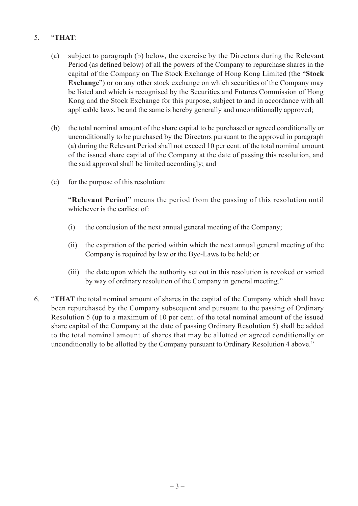# 5. "**THAT**:

- (a) subject to paragraph (b) below, the exercise by the Directors during the Relevant Period (as defined below) of all the powers of the Company to repurchase shares in the capital of the Company on The Stock Exchange of Hong Kong Limited (the "**Stock Exchange**") or on any other stock exchange on which securities of the Company may be listed and which is recognised by the Securities and Futures Commission of Hong Kong and the Stock Exchange for this purpose, subject to and in accordance with all applicable laws, be and the same is hereby generally and unconditionally approved;
- (b) the total nominal amount of the share capital to be purchased or agreed conditionally or unconditionally to be purchased by the Directors pursuant to the approval in paragraph (a) during the Relevant Period shall not exceed 10 per cent. of the total nominal amount of the issued share capital of the Company at the date of passing this resolution, and the said approval shall be limited accordingly; and
- (c) for the purpose of this resolution:

"**Relevant Period**" means the period from the passing of this resolution until whichever is the earliest of:

- (i) the conclusion of the next annual general meeting of the Company;
- (ii) the expiration of the period within which the next annual general meeting of the Company is required by law or the Bye-Laws to be held; or
- (iii) the date upon which the authority set out in this resolution is revoked or varied by way of ordinary resolution of the Company in general meeting."
- 6. "**THAT** the total nominal amount of shares in the capital of the Company which shall have been repurchased by the Company subsequent and pursuant to the passing of Ordinary Resolution 5 (up to a maximum of 10 per cent. of the total nominal amount of the issued share capital of the Company at the date of passing Ordinary Resolution 5) shall be added to the total nominal amount of shares that may be allotted or agreed conditionally or unconditionally to be allotted by the Company pursuant to Ordinary Resolution 4 above."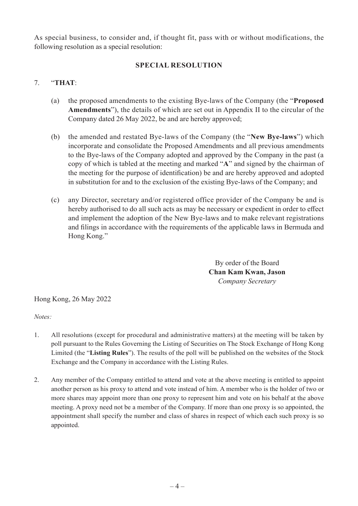As special business, to consider and, if thought fit, pass with or without modifications, the following resolution as a special resolution:

### **SPECIAL RESOLUTION**

#### 7. "**THAT**:

- (a) the proposed amendments to the existing Bye-laws of the Company (the "**Proposed Amendments**"), the details of which are set out in Appendix II to the circular of the Company dated 26 May 2022, be and are hereby approved;
- (b) the amended and restated Bye-laws of the Company (the "**New Bye-laws**") which incorporate and consolidate the Proposed Amendments and all previous amendments to the Bye-laws of the Company adopted and approved by the Company in the past (a copy of which is tabled at the meeting and marked "**A**" and signed by the chairman of the meeting for the purpose of identification) be and are hereby approved and adopted in substitution for and to the exclusion of the existing Bye-laws of the Company; and
- (c) any Director, secretary and/or registered office provider of the Company be and is hereby authorised to do all such acts as may be necessary or expedient in order to effect and implement the adoption of the New Bye-laws and to make relevant registrations and filings in accordance with the requirements of the applicable laws in Bermuda and Hong Kong."

By order of the Board **Chan Kam Kwan, Jason** *Company Secretary*

Hong Kong, 26 May 2022

*Notes:*

- 1. All resolutions (except for procedural and administrative matters) at the meeting will be taken by poll pursuant to the Rules Governing the Listing of Securities on The Stock Exchange of Hong Kong Limited (the "**Listing Rules**"). The results of the poll will be published on the websites of the Stock Exchange and the Company in accordance with the Listing Rules.
- 2. Any member of the Company entitled to attend and vote at the above meeting is entitled to appoint another person as his proxy to attend and vote instead of him. A member who is the holder of two or more shares may appoint more than one proxy to represent him and vote on his behalf at the above meeting. A proxy need not be a member of the Company. If more than one proxy is so appointed, the appointment shall specify the number and class of shares in respect of which each such proxy is so appointed.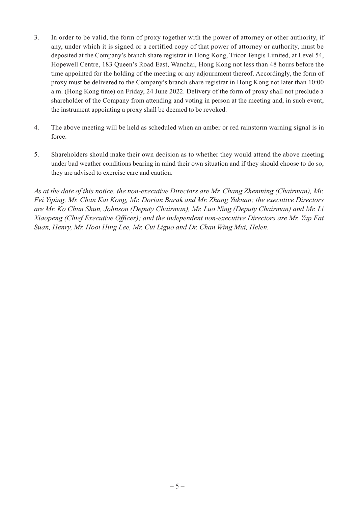- 3. In order to be valid, the form of proxy together with the power of attorney or other authority, if any, under which it is signed or a certified copy of that power of attorney or authority, must be deposited at the Company's branch share registrar in Hong Kong, Tricor Tengis Limited, at Level 54, Hopewell Centre, 183 Queen's Road East, Wanchai, Hong Kong not less than 48 hours before the time appointed for the holding of the meeting or any adjournment thereof. Accordingly, the form of proxy must be delivered to the Company's branch share registrar in Hong Kong not later than 10:00 a.m. (Hong Kong time) on Friday, 24 June 2022. Delivery of the form of proxy shall not preclude a shareholder of the Company from attending and voting in person at the meeting and, in such event, the instrument appointing a proxy shall be deemed to be revoked.
- 4. The above meeting will be held as scheduled when an amber or red rainstorm warning signal is in force.
- 5. Shareholders should make their own decision as to whether they would attend the above meeting under bad weather conditions bearing in mind their own situation and if they should choose to do so, they are advised to exercise care and caution.

*As at the date of this notice, the non-executive Directors are Mr. Chang Zhenming (Chairman), Mr. Fei Yiping, Mr. Chan Kai Kong, Mr. Dorian Barak and Mr. Zhang Yukuan; the executive Directors are Mr. Ko Chun Shun, Johnson (Deputy Chairman), Mr. Luo Ning (Deputy Chairman) and Mr. Li Xiaopeng (Chief Executive Officer); and the independent non-executive Directors are Mr. Yap Fat Suan, Henry, Mr. Hooi Hing Lee, Mr. Cui Liguo and Dr. Chan Wing Mui, Helen.*